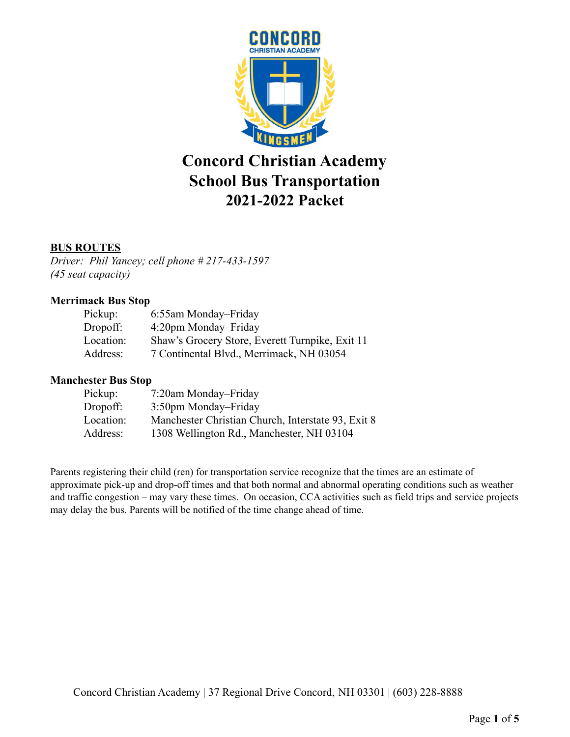

# **Concord Christian Academy School Bus Transportation 2021-2022 Packet**

### **BUS ROUTES**

*Driver: Phil Yancey; cell phone # 217-433-1597 (45 seat capacity)*

### **Merrimack Bus Stop**

| Pickup:   | 6:55am Monday-Friday                            |
|-----------|-------------------------------------------------|
| Dropoff:  | 4:20pm Monday–Friday                            |
| Location: | Shaw's Grocery Store, Everett Turnpike, Exit 11 |
| Address:  | 7 Continental Blvd., Merrimack, NH 03054        |

#### **Manchester Bus Stop**

| Pickup:   | 7:20am Monday–Friday                               |  |  |
|-----------|----------------------------------------------------|--|--|
| Dropoff:  | 3:50pm Monday–Friday                               |  |  |
| Location: | Manchester Christian Church, Interstate 93, Exit 8 |  |  |
| Address:  | 1308 Wellington Rd., Manchester, NH 03104          |  |  |

Parents registering their child (ren) for transportation service recognize that the times are an estimate of approximate pick-up and drop-off times and that both normal and abnormal operating conditions such as weather and traffic congestion – may vary these times. On occasion, CCA activities such as field trips and service projects may delay the bus. Parents will be notified of the time change ahead of time.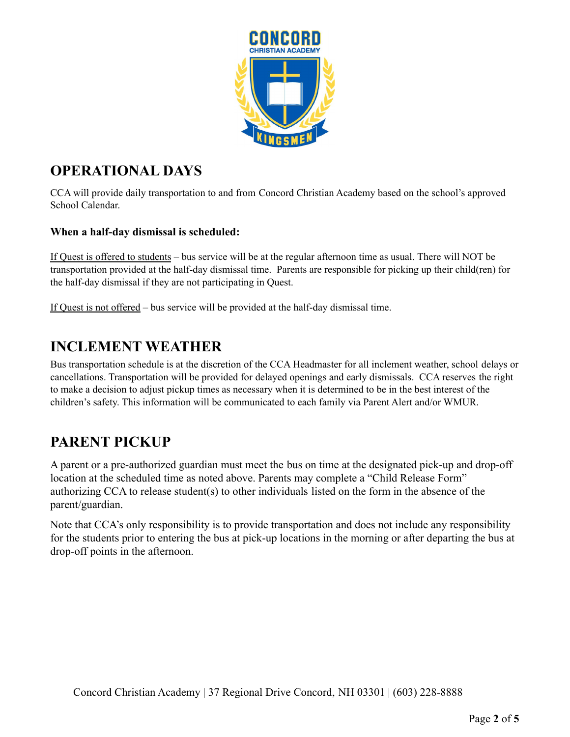

# **OPERATIONAL DAYS**

CCA will provide daily transportation to and from Concord Christian Academy based on the school's approved School Calendar.

### **When a half-day dismissal is scheduled:**

If Quest is offered to students – bus service will be at the regular afternoon time as usual. There will NOT be transportation provided at the half-day dismissal time. Parents are responsible for picking up their child(ren) for the half-day dismissal if they are not participating in Quest.

If Quest is not offered – bus service will be provided at the half-day dismissal time.

### **INCLEMENT WEATHER**

Bus transportation schedule is at the discretion of the CCA Headmaster for all inclement weather, school delays or cancellations. Transportation will be provided for delayed openings and early dismissals. CCA reserves the right to make a decision to adjust pickup times as necessary when it is determined to be in the best interest of the children's safety. This information will be communicated to each family via Parent Alert and/or WMUR.

### **PARENT PICKUP**

A parent or a pre-authorized guardian must meet the bus on time at the designated pick-up and drop-off location at the scheduled time as noted above. Parents may complete a "Child Release Form" authorizing CCA to release student(s) to other individuals listed on the form in the absence of the parent/guardian.

Note that CCA's only responsibility is to provide transportation and does not include any responsibility for the students prior to entering the bus at pick-up locations in the morning or after departing the bus at drop-off points in the afternoon.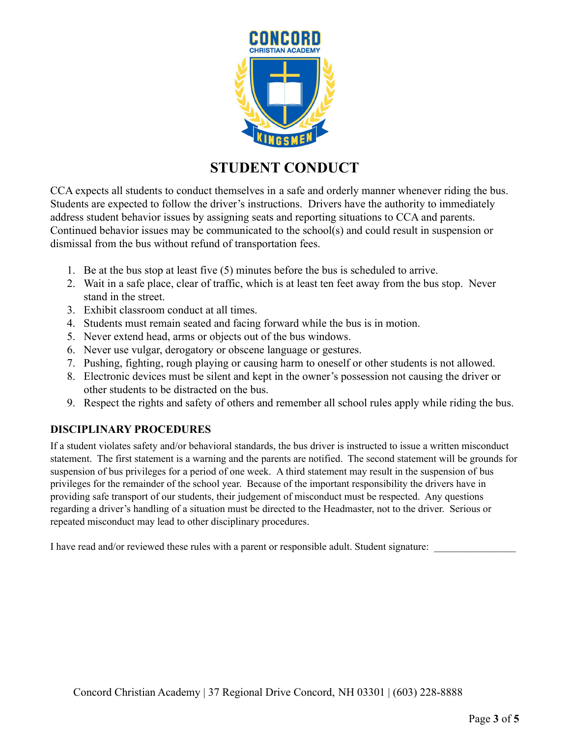

# **STUDENT CONDUCT**

CCA expects all students to conduct themselves in a safe and orderly manner whenever riding the bus. Students are expected to follow the driver's instructions. Drivers have the authority to immediately address student behavior issues by assigning seats and reporting situations to CCA and parents. Continued behavior issues may be communicated to the school(s) and could result in suspension or dismissal from the bus without refund of transportation fees.

- 1. Be at the bus stop at least five (5) minutes before the bus is scheduled to arrive.
- 2. Wait in a safe place, clear of traffic, which is at least ten feet away from the bus stop. Never stand in the street.
- 3. Exhibit classroom conduct at all times.
- 4. Students must remain seated and facing forward while the bus is in motion.
- 5. Never extend head, arms or objects out of the bus windows.
- 6. Never use vulgar, derogatory or obscene language or gestures.
- 7. Pushing, fighting, rough playing or causing harm to oneself or other students is not allowed.
- 8. Electronic devices must be silent and kept in the owner's possession not causing the driver or other students to be distracted on the bus.
- 9. Respect the rights and safety of others and remember all school rules apply while riding the bus.

### **DISCIPLINARY PROCEDURES**

If a student violates safety and/or behavioral standards, the bus driver is instructed to issue a written misconduct statement. The first statement is a warning and the parents are notified. The second statement will be grounds for suspension of bus privileges for a period of one week. A third statement may result in the suspension of bus privileges for the remainder of the school year. Because of the important responsibility the drivers have in providing safe transport of our students, their judgement of misconduct must be respected. Any questions regarding a driver's handling of a situation must be directed to the Headmaster, not to the driver. Serious or repeated misconduct may lead to other disciplinary procedures.

I have read and/or reviewed these rules with a parent or responsible adult. Student signature: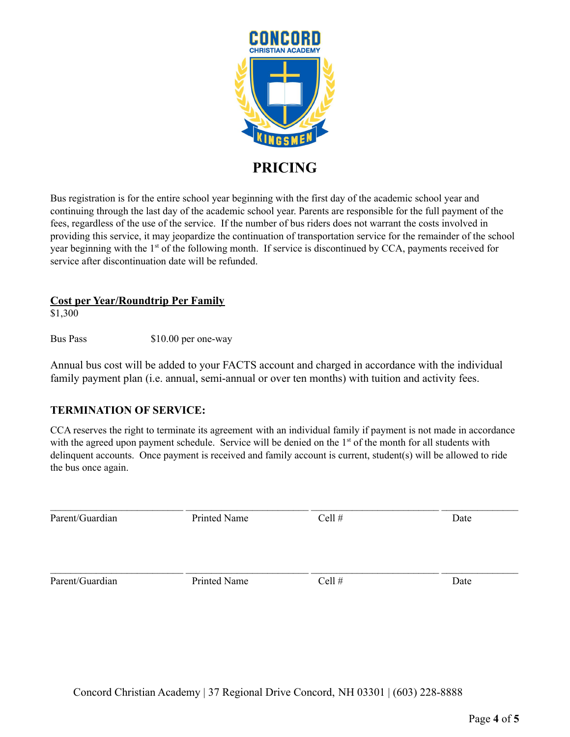

Bus registration is for the entire school year beginning with the first day of the academic school year and continuing through the last day of the academic school year. Parents are responsible for the full payment of the fees, regardless of the use of the service. If the number of bus riders does not warrant the costs involved in providing this service, it may jeopardize the continuation of transportation service for the remainder of the school year beginning with the 1<sup>st</sup> of the following month. If service is discontinued by CCA, payments received for service after discontinuation date will be refunded.

### **Cost per Year/Roundtrip Per Family**

\$1,300

Bus Pass \$10.00 per one-way

Annual bus cost will be added to your FACTS account and charged in accordance with the individual family payment plan (i.e. annual, semi-annual or over ten months) with tuition and activity fees.

### **TERMINATION OF SERVICE:**

CCA reserves the right to terminate its agreement with an individual family if payment is not made in accordance with the agreed upon payment schedule. Service will be denied on the 1<sup>st</sup> of the month for all students with delinquent accounts. Once payment is received and family account is current, student(s) will be allowed to ride the bus once again.

| Parent/Guardian | Printed Name | Cell $#$ | Date |
|-----------------|--------------|----------|------|
| Parent/Guardian | Printed Name | Cell $#$ | Date |